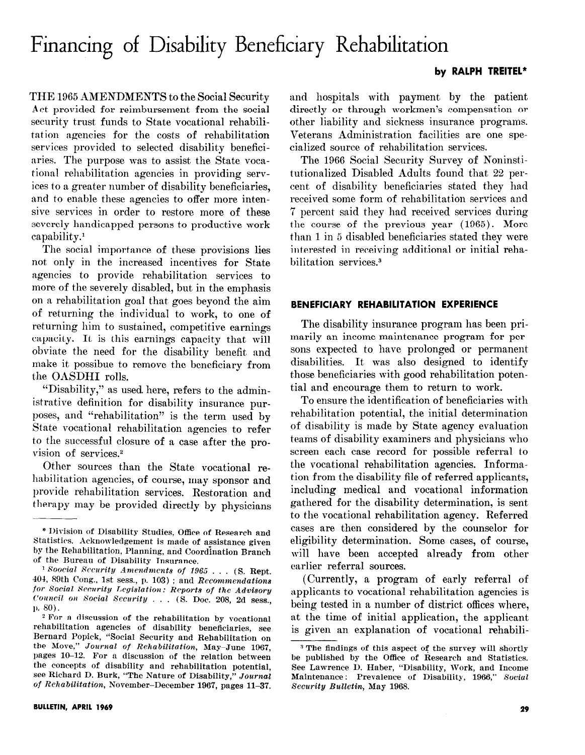# Financing of Disability Beneficiary Rehabilitation J

#### by RALPH TREITEL\*

THE 1965 AMENDMENTS to the Social Security Act provided for reimbursement from the social security trust funds to State vocational rehabilitation agencies for the costs of rehabilitation services provided to selected disability beneficiaries. The purpose was to assist the State vocational rehabilitation agencies in providing services to a greater number of disability beneficiaries, and to enable these agencies to offer more intensive services in order to restore more of these severely handicapped persons to productive work capability.'

The social importance of these provisions lies not only in the increased incentives for State agencies to provide rehabilitation services to more of the severely disabled, but in the emphasis on a rehabilitation goal that goes beyond the aim of returning the individual to work, to one of returning him to sustained, competitive earnings capacity. It is this earnings capacity that will obviate the need for the disability benefit and make it possibue to remove the beneficiary from the OASDHI rolls.

"Disability,?' as used here, refers to the administrative definition for disability insurance purposes, and "rehabilitation" is the term used by State vocational rehabilitation agencies to refer to the successful closure of a case after the provision of services.2

Other sources than the State vocational rehabilitation agencies, of course, may sponsor and provide rehabilitation services. Restoration and therapy may be provided directly by physicians

and hospitals with payment by the patient directly or through workmen's compensation or other liability and sickness insurance programs. Veterans Administration facilities are one specialized source of rehabilitation services.

The 1966 Social Security Survey of Noninstitutionalized Disabled Adults found that 22 percent of disability beneficiaries stated they had received some form of rehabilitation services and '7 percent said they had received services during the course of the previous year (1965). More than 1 in 6 disabled beneficiaries stated they were interested in receiving additional or initial rehabilitation services.3

## BENEFICIARY REHABILITATION EXPERIENCE

The disability insurance program has been primarily an income-maintenance program for persons expected to have prolonged or permanent disabilities. It was also designed to identify those beneficiaries with good rehabilitation potential and encourage them to return to work.

To ensure the identification of beneficiaries with rehabilitation potential, the initial determination of disability is made by State agency evaluation teams of disability examiners and physicians who screen each case record for possible referral to the vocational rehabilitation agencies. Information from the disability file of referred applicants, including medical and vocational information gathered for the disability determination, is sent to the vocational rehabilitation agency. Referred cases are then considered by the counselor for eligibility determination. Some cases, of course, will have been accepted already from other earlier referral sources.

(Currently, a program of early referral of applicants to vocational rehabilitation agencies is being tested in a number of district offices where, at the time of initial application, the applicant is given an explanation of vocational rehabili-

<sup>\*</sup> Division of Disability Studies, Office of Research and Statistics. Acknowledgement is made of assistance given by the Rehabilitation, Planning, and Coordination Branch of the Bureau of Disability Insurance.

 $1$  Soocial Security Amendments of 1965  $\dots$  (S. Rept. 404, 89th Cong., 1st sess., p. 103); and Recommendations for Social Security Legislation: Reports of the Advisory Council on Social Security . . . (S. Doc. 208, 2d sess., p. 80).

 $2$  For a discussion of the rehabilitation by vocational rehabilitation agencies of disability beneficiaries, see Bernard Popick, "Social Security and Rehabilitation on the More," Journal of Rehabilitation, May-June 1967, pages 10-12. For a discussion of the relation between the concepts of disability and rehabilitation potential, see Richard D. Burk, "The Nature of Disability," Journal of Rehabilitation, November-December 1967, pages 11-37.

<sup>&</sup>lt;sup>3</sup> The findings of this aspect of the survey will shortly be published by the Office of Research and Statistics. See Lawrence D. Haber, "Disability, Work, and Income Maintenance : Prevalence of Disability, 1966," Social Security Bulletin, May 1968.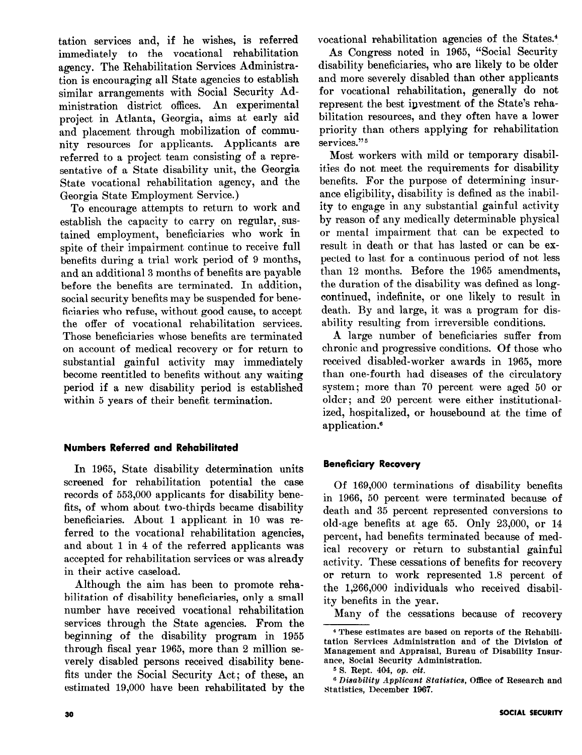tation services and, if he wishes, is referred immediately to the vocational rehabilitation agency. The Rehabilitation Services Administration is encouraging all State agencies to establish similar arrangements with Social Security Administration district offices. An experimental project in Atlanta, Georgia, aims at early aid and placement through mobilization of community resources for applicants. Applicants are referred to a project team consisting of a representative of a State disability unit, the Georgia State vocational rehabilitation agency, and the Georgia State Employment Service.)

To encourage attempts to return to work and establish the capacity to carry on regular, sustained employment, beneficiaries who work in spite of their impairment continue to receive full benefits during a trial work period of 9 months, and an additional 3 months of benefits are payable before the benefits are terminated. In addition, social security benefits may be suspended for beneficiaries who refuse, without good cause, to accept the offer of vocational rehabilitation services. Those beneficiaries whose benefits are terminated on account of medical recovery or for return to substantial gainful activity may immediately become reentitled to benefits without any waiting period if a new disability period is established within 5 years of their benefit termination.

## Numbers Referred and Rehabilitated

In 1965, State disability determination units screened for rehabilitation potential the case records of 553,000 applicants for disability benefits, of whom about two-thirds became disability beneficiaries. About 1 applicant in 10 was referred to the vocational rehabilitation agencies, and about 1 in 4 of the referred applicants was accepted for rehabilitation services or was already in their active caseload.

Although the aim has been to promote rehabilitation of disability beneficiaries, only a small number have received vocational rehabilitation services through the State agencies. From the beginning of the disability program in 1955 through fiscal year 1965, more than 2 million severely disabled persons received disability benefits under the Social Security Act; of these, an estimated 19,000 have been rehabilitated by the vocational rehabilitation agencies of the States.<sup>4</sup>

As Congress noted in 1965, "Social Security disability beneficiaries, who are likely to be older and more severely disabled than other applicants for vocational rehabilitation, generally do not represent the best investment of the State's rehabilitation resources, and they often have a lower priority than others applying for rehabilitation services."<sup>5</sup>

Most workers with mild or temporary disabilities do not meet the requirements for disability benefits. For the purpose of determining insurance eligibility, disability is defined as the inability to engage in any substantial gainful activity by reason of any medically determinable physical or mental impairment that can be expected to result in death or that has lasted or can be expected to last for a continuous period of not less than 12 months. Before the 1965 amendments, the duration of the disability was defined as longcontinued, indefinite, or one likely to result in death. By and large, it was a program for disability resulting from irreversible conditions.

A large number of beneficiaries suffer from chronic and progressive conditions. Of those who received disabled-worker awards in 1965, more than one-fourth had diseases of the circulatory system ; more than 70 percent were aged 50 or older; and 20 percent were either institutionalized, hospitalized, or housebound at the time of application.<sup>6</sup>

## Beneficiary Recovery

Of 169,000 terminations of disability benefits in 1966, 50 percent were terminated because of death and 35 percent represented conversions to old-age benefits at age 65. Only 23,000, or 14 percent, had benefits terminated because of medical recovery or return to substantial gainful activity. These cessations of benefits for recovery or return to work represented 1.8 percent of the 1,266,OOO individuals who received disability benefits in the year.

Many of the cessations because of recovery

<sup>4</sup> These estimates are based on reports of the Rehabilitation Services Administration and of the Division of Management and Appraisal, Bureau of Disability Insurance, Social Security Administration.

<sup>5</sup> S. Rept. 404, op. cit.

<sup>&</sup>lt;sup>6</sup> Disability Applicant Statistics, Office of Research and Statistics, December 1967.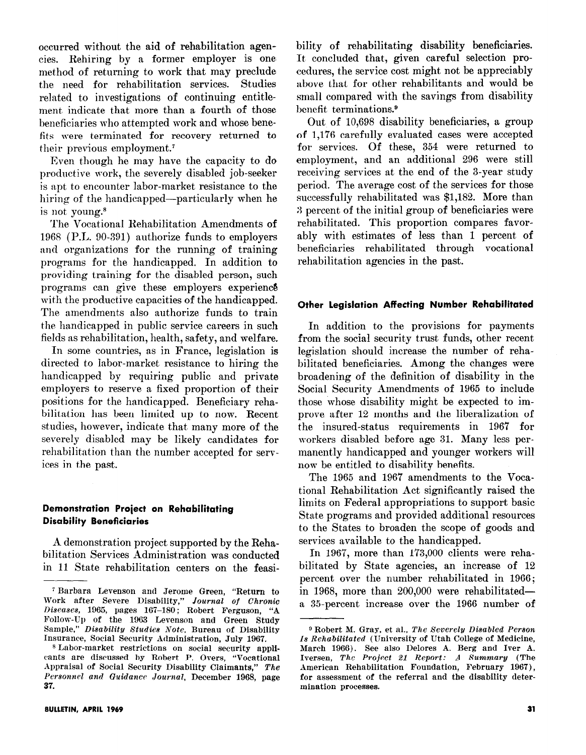occurred without the aid of rehabilitation agencies. Rehiring by a former employer is one method of returning to work that may preclude the need for rehabilitation services. Studies related to investigations of continuing entitlement indicate that more than a fourth of those beneficiaries who attempted work and whose benefits were terminated for recovery returned to their previous employment.'

Even though he may have the capacity to do productive work, the severely disabled job-seeker is apt to encounter labor-market resistance to the hiring of the handicapped—particularly when he is not young.8

The Vocational Rehabilitation Amendments of 1968 (P.L. 90-391) authorize funds to employers and organizations for the running of training programs for the handicapped. In addition to providing training for the disabled person, such programs can give these employers experience with the productive capacities of the handicapped. The amendments also authorize funds to train the handicapped in public service careers in such fields as rehabilitation, health, safety, and welfare.

In some countries, as in France, legislation is directed to labor-market resistance to hiring the handicapped by requiring public and private employers to reserve a fixed proportion of their positions for the handicapped. Beneficiary rehabilitation has been limited up to now. Recent studies, however, indicate that many more of the severely disabled may be likely candidates for rehabilitation than the number accepted for services in the past.

#### Demonstration Project on Rehabilitating Disability Beneficiaries

A demonstration project supported by the Rehabilitation Services Administration was conducted in 11 State rehabilitation centers on the feasibility of rehabilitating disability beneficiaries. It concluded that, given careful selection procedures, the service cost might not be appreciably above that for other rehabilitants and would be small compared with the savings from disability benefit terminations.<sup>9</sup>

Out of 10,698 disability beneficiaries, a group of 1,176 carefully evaluated cases were accepted for services. Of these, 354 were returned to employment, and an additional 296 were still receiving services at the end of the 3-year study period. The average cost of the services for those successfully rehabilitated was \$1,182. More than 3 percent of the initial group of beneficiaries were rehabilitated. This proportion compares favorably with estimates of less than 1 percent of beneficiaries rehabilitated through vocational rehabilitation agencies in the past.

### Other Legislation Affecting Number Rehabilitated

In addition to the provisions for payments from the social security trust funds, other recent. legislation should increase the number of rehabilitated beneficiaries. Among the changes were broadening of the definition of disability in the Social Security Amendments of 1965 to include those whose disability might be expected to improve after 12 months and the liberalization of the insured-status requirements in 1967 for workers disabled before age 31. Many less permanently handicapped and younger workers will now be entitled to disability benefits.

The 1965 and 1967 amendments to the Vocational Rehabilitation Act significantly raised the limits on Federal appropriations to support basic State programs and provided additional resources to the States to broaden the scope of goods and services available to the handicapped.

In 1967, more than 173,000 clients were rehabilitated by State agencies, an increase of 12 percent over the number rehabilitated in 1966; in 1968, more than  $200,000$  were rehabilitateda 35-percent increase over the 1966 number of

i Barbara Levenson and Jerome Green, "Return to Work after Severe Disability," Journal of Chroni lliseases, 1965, pages 167-180; Robert Ferguson, "A Follow-Up of the 1963 Levenson and Green Study Sample," Dieability Studies Note, Bureau of Disability Insurance, Social Security Administration, July 1967.

<sup>8</sup> Labor-market restrictions on social security applicants are discussed by Robert P. Overs, "Vocational Appraisal of Social Security Disability Claimants," The Personnel and Guidance Journal, December 1968, page 37.

<sup>9</sup> Robert M. Gray, et al., The Severely Disabled Person Ia Rehabilitated (University of Utah College of Medicine, March 1966). See also Delores A. Berg and Iver A. Iversen, The Project 21 Report: A Summary (The American Rehabilitation Foundation, February 1967), for assessment of the referral and the disability determination processes.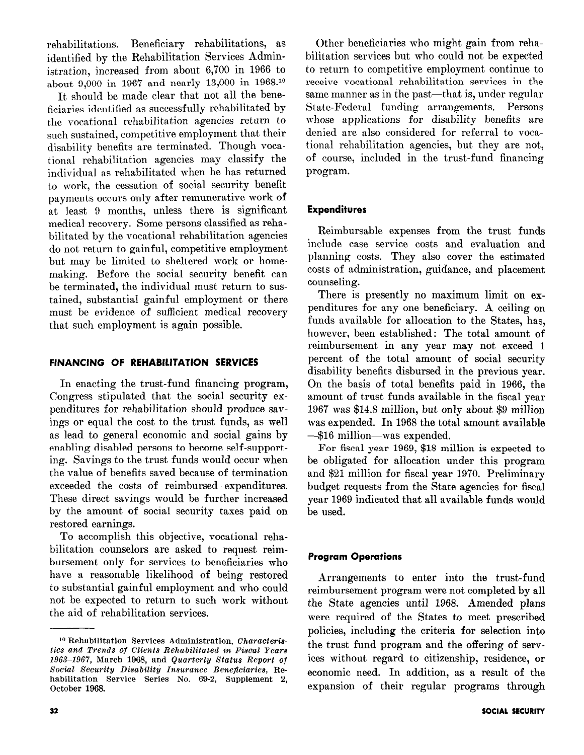rehabilitations. Beneficiary rehabilitations, as identified by the Rehabilitation Services Administration, increased from about 6,700 in 1966 to about 9,000 in 1967 and nearly 13,000 in 1968.<sup>10</sup>

It should be made clear that not all the beneficiaries identified as successfully rehabilitated by the vocational rehabilitation agencies return to such sustained, competitive employment that their disability benefits are terminated. Though vocational rehabilitation agencies may classify the individual as rehabilitated when he has returned to work, the cessation of social security benefit payments occurs only after remunerative work of at least 9 months, unless there is significant medical recovery. Some persons classified as rehabilitated by the vocational rehabilitation agencies do not return to gainful, competitive employment but may be limited to sheltered work or homemaking. Before the social security benefit can be terminated, the individual must return to sustained, substantial gainful employment or there must be evidence of sufficient medical recovery that such employment is again possible.

## FINANCING OF REHABILITATION SERVICES

In enacting the trust-fund financing program, Congress stipulated that the social security expenditures for rehabilitation should produce savings or equal the cost to the trust funds, as well as lead to general economic and social gains by enabling disabled persons to become self -supporting. Savings to the trust funds would occur when the value of benefits saved because of termination exceeded the costs of reimbursed expenditures. These direct savings would be further increased by the amount of social security taxes paid on restored earnings.

To accomplish this objective, vocational rehabilitation counselors are asked to request reimbursement only for services to beneficiaries who have a reasonable likelihood of being restored to substantial gainful employment and who could not be expected to return to such work without the aid of rehabilitation services.

Other beneficiaries who might gain from rehabilitation services but who could not be expected to return to competitive employment continue to receive vocational rehabilitation services in the same manner as in the past—that is, under regular State-Federal funding arrangements. Persons whose applications for disability benefits are denied are also considered for referral to vocational rehabilitation agencies, but they are not, of course, included in the trust-fund financing program.

## Expenditures

Reimbursable expenses from the trust funds include case service costs and evaluation and planning costs. They also cover the estimated costs of administration, guidance, and placement counseling.

There is presently no maximum limit on expenditures for any one beneficiary. A ceiling on funds available for allocation to the States, has, however, been established: The total amount of reimbursement in any year may not exceed 1 percent of the total amount of social security disability benefits disbursed in the previous year. On the basis of total benefits paid in 1966, the amount of trust funds available in the fiscal year 196'7 was \$14.8 million, but only about \$9 million was expended. In 1968 the total amount available -\$16 million-was expended.

For fiscal year 1969, \$18 million is expected to be obligated for allocation under this program and \$21 million for fiscal year 1970. Preliminary budget requests from the State agencies for fiscal year 1969 indicated that all available funds would be used.

## Program Operations

Arrangements to enter into the trust-fund reimbursement program were not completed by all the State agencies until 1968. Amended plans were required of the States to meet prescribed policies, including the criteria for selection into the trust fund program and the offering of services without regard to citizenship, residence, or economic need. In addition, as a result of the expansion of their regular programs through

<sup>&</sup>lt;sup>10</sup> Rehabilitation Services Administration, Characteristics and Trends of Clients Rehabilitated in Fiacal Years 1963-1967, March 1968, and Quarterly Status Report of Social Security Disability Insurance Beneficiaries, Rehabilitation Service Series No. 69-2, Supplement 2, October 1968.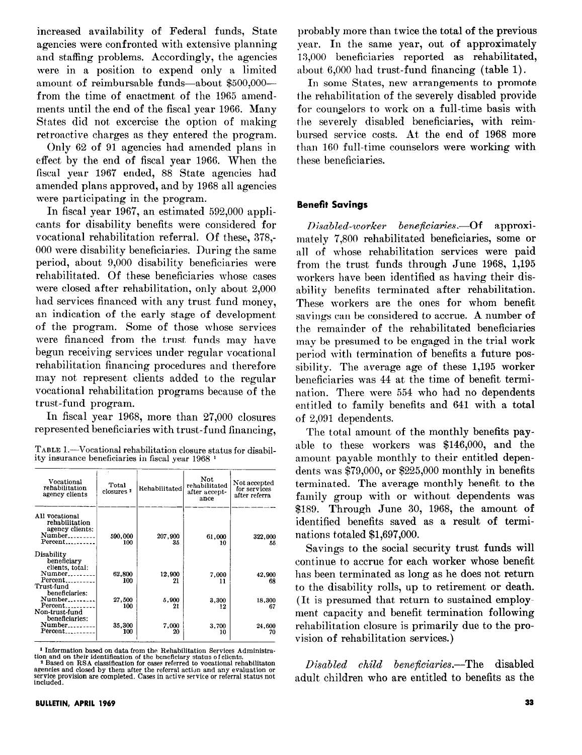increased availability of Federal funds, State agencies were confronted with extensive planning and staffing problems. Accordingly, the agencies were in a position to expend only a limited amount of reimbursable funds-about  $$500,000$ from the time of enactment of the 1965 amendments until the end of the fiscal year 1966. Many States did not excercise the option of making retroactive charges as they entered the program.

Only 62 of 91 agencies had amended plans in effect by the end of fiscal year 1966. When the fiscal year 1967 ended, 88 State agencies had amended plans approved, and by 1968 all agencies were participating in the program.

In fiscal year 1967, an estimated 592,000 applicants for disability benefits were considered for vocational rehabilitation referral. Of these, 378,-000 were disability beneficiaries. During the same period, about 9,000 disability beneficiaries were rehabilitated. Of these beneficiaries whose cases were closed after rehabilitation, only about 2,000 had services financed with any trust fund money, an indication of the early stage of development of the program. Some of those whose services were financed from the trust funds may have begun receiving services under regular vocational rehabilitation financing procedures and therefore may not represent clients added to the regular vocational rehabilitation programs because of the trust-fund program.

In fiscal year 1968, more than 27,000 closures represented beneficiaries with trust-fund financing,

TABLE 1.-Vocational rehabilitation closure status for disability insurance beneficiaries in fiscal year 1968 1

| Vocational<br>rehabilitation<br>agency clients                                               | Total<br>closures <sup>2</sup> | Rehabilitated | Not<br>rehabilitated<br>after accept-<br>ance | Not accepted<br>for services<br>after referra |
|----------------------------------------------------------------------------------------------|--------------------------------|---------------|-----------------------------------------------|-----------------------------------------------|
| All vocational<br>rehabilitation<br>agency clients:<br>Number<br>Percent                     | 590,000<br>100                 | 207.900<br>35 | 61.000<br>10                                  | 322,000<br>55                                 |
| Disability<br>beneficiary<br>clients, total:<br>$Number_{\ldots}$<br>Percent                 | 62,800<br>100                  | 12,900<br>21  | 7.000<br>11                                   | 42.900<br>68                                  |
| Trust-fund<br>beneficiaries:<br>$Number_{\ldots}$<br>$Percent \dots \dots$<br>Non-trust-fund | 27,500<br>100                  | 5.900<br>21   | 3,300<br>12                                   | 18,300<br>67                                  |
| beneficiaries:<br>Number<br>Percent <sub>--------</sub> -                                    | 35,300<br>100                  | 7.000<br>20   | 3.700<br>10                                   | 24,600<br>70                                  |

probably more than twice the total of the previous year. In the same year, out of approximately 13,000 beneficiaries reported as rehabilitated, about 6,000 had trust-fund financing (table 1).

In some States, new arrangements to promote the rehabilitation of the severely disabled provide for counzelors to work on a full-time basis with the severely disabled beneficiaries, with reimbursed service costs. At the end of 1968 more than 160 full-time counselors were working with these beneficiaries.

## Benefit Savings

Disabled-worker beneficiaries.—Of approximately 7,800 rehabilitated beneficiaries, some or all of whose rehabilitation services were paid from the trust funds through June 1968, 1,195 workers have been identified as having their disability benefits terminated after rehabilitation. These workers are the ones for whom benefit savings can be considered to accrue. A number of the remainder of the rehabilitated beneficiaries may be presumed to be engaged in the trial work period with termination of benefits a future possibility. The average age of these 1,195 worker beneficiaries was 44 at the time of benefit termination. There were 554 who had no dependents entitled to family benefits and 641 with a total of 2,091 dependents.

The total amount of the monthly benefits payable to these workers was \$146,000, and the amount payable monthly to their entitled dependents was \$79,000, or \$225,000 monthly in benefits terminated. The average monthly benefit to the family group with or without dependents was \$189. Through June 30, 1968, the amount of identified benefits saved as a result of terminations totaled \$1,697,000.

Savings to the social security trust funds will continue to accrue for each worker whose benefit has been terminated as long as he does not return to the disability rolls, up to retirement or death. (It is presumed that return to sustained employment capacity and benefit termination following rehabilitation closure is primarily due to the provision of rehabilitation services.)

Disabled child beneficiaries.—The disabled adult children who are entitled to benefits as the

<sup>&</sup>lt;sup>1</sup> Information based on data from the Rehabilitation Services Administration and on their identification of the beneficiary status of clients.<br>
<sup>2</sup> Based on RSA classification for cases referred to vocational rehabilitat